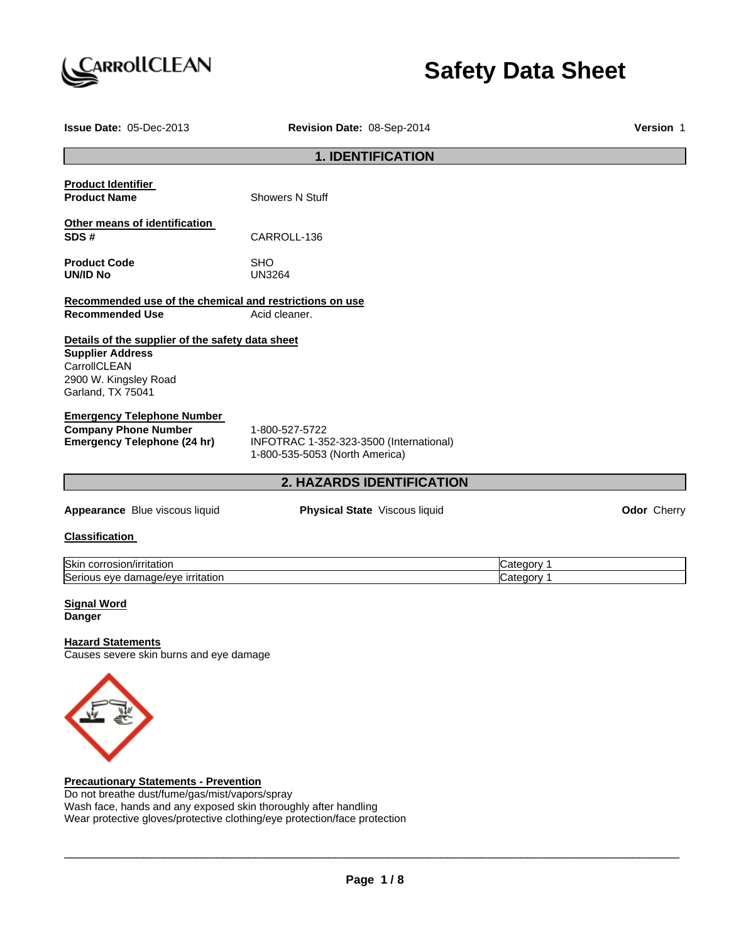

# **Safety Data Sheet**

| Issue Date: 05-Dec-2013                                                                                                                   | Revision Date: 08-Sep-2014                                                                  |                          | Version 1   |
|-------------------------------------------------------------------------------------------------------------------------------------------|---------------------------------------------------------------------------------------------|--------------------------|-------------|
|                                                                                                                                           | <b>1. IDENTIFICATION</b>                                                                    |                          |             |
| <b>Product Identifier</b><br><b>Product Name</b>                                                                                          | <b>Showers N Stuff</b>                                                                      |                          |             |
| Other means of identification<br>SDS#                                                                                                     | CARROLL-136                                                                                 |                          |             |
| <b>Product Code</b><br><b>UN/ID No</b>                                                                                                    | <b>SHO</b><br><b>UN3264</b>                                                                 |                          |             |
| Recommended use of the chemical and restrictions on use<br><b>Recommended Use</b>                                                         | Acid cleaner.                                                                               |                          |             |
| Details of the supplier of the safety data sheet<br><b>Supplier Address</b><br>CarrollCLEAN<br>2900 W. Kingsley Road<br>Garland, TX 75041 |                                                                                             |                          |             |
| <b>Emergency Telephone Number</b><br><b>Company Phone Number</b><br><b>Emergency Telephone (24 hr)</b>                                    | 1-800-527-5722<br>INFOTRAC 1-352-323-3500 (International)<br>1-800-535-5053 (North America) |                          |             |
| 2. HAZARDS IDENTIFICATION                                                                                                                 |                                                                                             |                          |             |
| Appearance Blue viscous liquid                                                                                                            | Physical State Viscous liquid                                                               |                          | Odor Cherry |
| <b>Classification</b>                                                                                                                     |                                                                                             |                          |             |
| Skin corrosion/irritation<br>Serious eye damage/eye irritation                                                                            |                                                                                             | Category 1<br>Category 1 |             |
| <b>Signal Word</b><br><b>Danger</b>                                                                                                       |                                                                                             |                          |             |
| <b>Hazard Statements</b><br>Causes severe skin burns and eye damage                                                                       |                                                                                             |                          |             |
|                                                                                                                                           |                                                                                             |                          |             |
| <b>Precautionary Statements - Prevention</b>                                                                                              |                                                                                             |                          |             |

Do not breathe dust/fume/gas/mist/vapors/spray Wash face, hands and any exposed skin thoroughly after handling Wear protective gloves/protective clothing/eye protection/face protection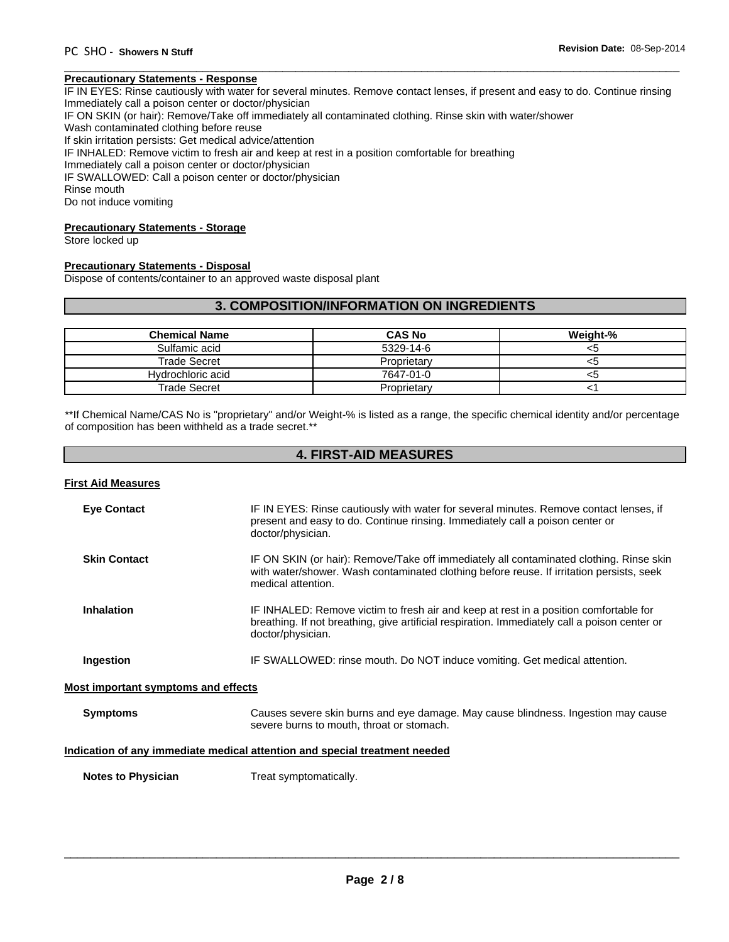# **Precautionary Statements - Response**

IF IN EYES: Rinse cautiously with water for several minutes. Remove contact lenses, if present and easy to do. Continue rinsing Immediately call a poison center or doctor/physician

 $\overline{\phantom{a}}$  , and the set of the set of the set of the set of the set of the set of the set of the set of the set of the set of the set of the set of the set of the set of the set of the set of the set of the set of the s

IF ON SKIN (or hair): Remove/Take off immediately all contaminated clothing. Rinse skin with water/shower

Wash contaminated clothing before reuse

If skin irritation persists: Get medical advice/attention

IF INHALED: Remove victim to fresh air and keep at rest in a position comfortable for breathing

Immediately call a poison center or doctor/physician

IF SWALLOWED: Call a poison center or doctor/physician

Rinse mouth

Do not induce vomiting

### **Precautionary Statements - Storage**

Store locked up

# **Precautionary Statements - Disposal**

Dispose of contents/container to an approved waste disposal plant

# **3. COMPOSITION/INFORMATION ON INGREDIENTS**

| <b>Chemical Name</b> | <b>CAS No</b> | Weight-% |
|----------------------|---------------|----------|
| Sulfamic acid        | 5329-14-6     | <5       |
| <b>Trade Secret</b>  | Proprietary   | <5       |
| Hydrochloric acid    | 7647-01-0     | <5       |
| Trade Secret         | Proprietary   |          |

\*\*If Chemical Name/CAS No is "proprietary" and/or Weight-% is listed as a range, the specific chemical identity and/or percentage of composition has been withheld as a trade secret.\*\*

# **4. FIRST-AID MEASURES**

# **First Aid Measures**

| <b>Eye Contact</b>                  | IF IN EYES: Rinse cautiously with water for several minutes. Remove contact lenses, if<br>present and easy to do. Continue rinsing. Immediately call a poison center or<br>doctor/physician.                |
|-------------------------------------|-------------------------------------------------------------------------------------------------------------------------------------------------------------------------------------------------------------|
| <b>Skin Contact</b>                 | IF ON SKIN (or hair): Remove/Take off immediately all contaminated clothing. Rinse skin<br>with water/shower. Wash contaminated clothing before reuse. If irritation persists, seek<br>medical attention.   |
| <b>Inhalation</b>                   | IF INHALED: Remove victim to fresh air and keep at rest in a position comfortable for<br>breathing. If not breathing, give artificial respiration. Immediately call a poison center or<br>doctor/physician. |
| Ingestion                           | IF SWALLOWED: rinse mouth. Do NOT induce vomiting. Get medical attention.                                                                                                                                   |
| Most important symptoms and effects |                                                                                                                                                                                                             |
| <b>Symptoms</b>                     | Causes severe skin burns and eye damage. May cause blindness. Ingestion may cause<br>severe burns to mouth, throat or stomach.                                                                              |
|                                     | Indication of any immediate medical attention and special treatment needed                                                                                                                                  |

**Notes to Physician**  Treat symptomatically.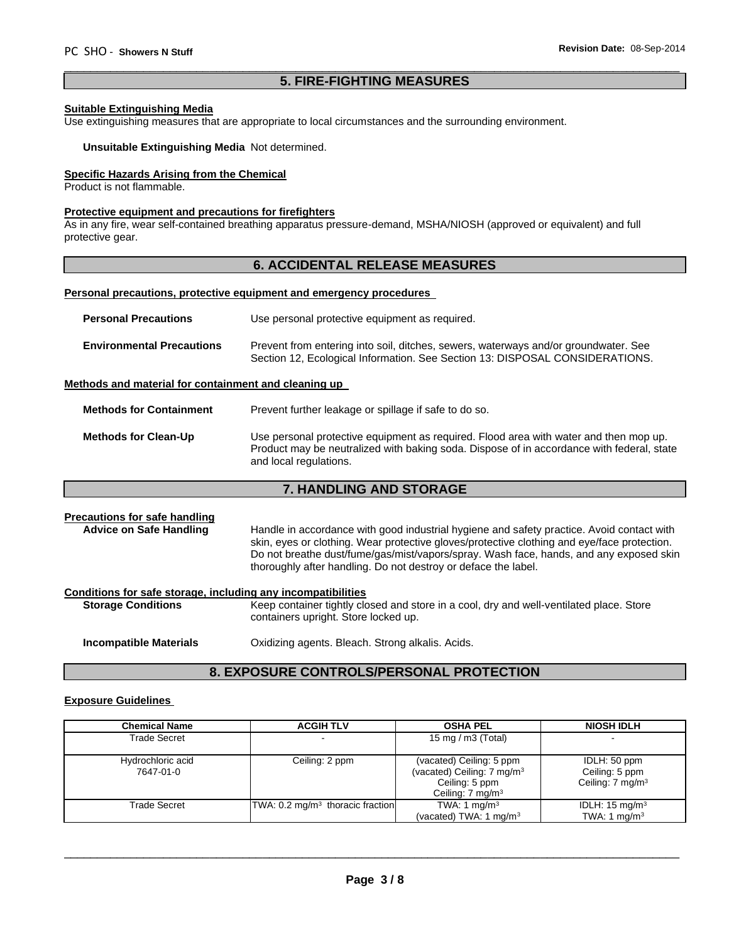# $\overline{\phantom{a}}$  , and the set of the set of the set of the set of the set of the set of the set of the set of the set of the set of the set of the set of the set of the set of the set of the set of the set of the set of the s **5. FIRE-FIGHTING MEASURES**

# **Suitable Extinguishing Media**

Use extinguishing measures that are appropriate to local circumstances and the surrounding environment.

**Unsuitable Extinguishing Media** Not determined.

# **Specific Hazards Arising from the Chemical**

Product is not flammable.

### **Protective equipment and precautions for firefighters**

As in any fire, wear self-contained breathing apparatus pressure-demand, MSHA/NIOSH (approved or equivalent) and full protective gear.

# **6. ACCIDENTAL RELEASE MEASURES**

# **Personal precautions, protective equipment and emergency procedures**

| <b>Personal Precautions</b>                          | Use personal protective equipment as required.                                                                                                                      |
|------------------------------------------------------|---------------------------------------------------------------------------------------------------------------------------------------------------------------------|
| <b>Environmental Precautions</b>                     | Prevent from entering into soil, ditches, sewers, waterways and/or groundwater. See<br>Section 12, Ecological Information. See Section 13: DISPOSAL CONSIDERATIONS. |
| Methods and material for containment and cleaning up |                                                                                                                                                                     |

**Methods for Containment** Prevent further leakage or spillage if safe to do so.

| <b>Methods for Clean-Up</b> | Use personal protective equipment as required. Flood area with water and then mop up.     |
|-----------------------------|-------------------------------------------------------------------------------------------|
|                             | Product may be neutralized with baking soda. Dispose of in accordance with federal, state |
|                             | and local regulations.                                                                    |

# **7. HANDLING AND STORAGE**

# **Precautions for safe handling** Advice on Safe Handling **Handle in accordance with good industrial hygiene and safety practice. Avoid contact with** skin, eyes or clothing. Wear protective gloves/protective clothing and eye/face protection. Do not breathe dust/fume/gas/mist/vapors/spray. Wash face, hands, and any exposed skin thoroughly after handling. Do not destroy or deface the label. **Conditions for safe storage, including any incompatibilities Storage Conditions Keep container tightly closed and store in a cool, dry and well-ventilated place. Store** containers upright. Store locked up. **Incompatible Materials Cxidizing agents. Bleach. Strong alkalis. Acids.**

# **8. EXPOSURE CONTROLS/PERSONAL PROTECTION**

# **Exposure Guidelines**

| <b>Chemical Name</b>           | <b>ACGIH TLV</b>                            | <b>OSHA PEL</b>                                                                                                     | <b>NIOSH IDLH</b>                                             |
|--------------------------------|---------------------------------------------|---------------------------------------------------------------------------------------------------------------------|---------------------------------------------------------------|
| Trade Secret                   |                                             | 15 mg / m $3$ (Total)                                                                                               |                                                               |
| Hydrochloric acid<br>7647-01-0 | Ceiling: 2 ppm                              | (vacated) Ceiling: 5 ppm<br>(vacated) Ceiling: 7 mg/m <sup>3</sup><br>Ceiling: 5 ppm<br>Ceiling: $7 \text{ mg/m}^3$ | IDLH: 50 ppm<br>Ceiling: 5 ppm<br>Ceiling: $7 \text{ mg/m}^3$ |
| <b>Trade Secret</b>            | TWA: $0.2 \text{ mg/m}^3$ thoracic fraction | TWA: 1 mg/m <sup>3</sup><br>(vacated) TWA: 1 mg/m <sup>3</sup>                                                      | IDLH: $15 \text{ mg/m}^3$<br>TWA: 1 $mq/m3$                   |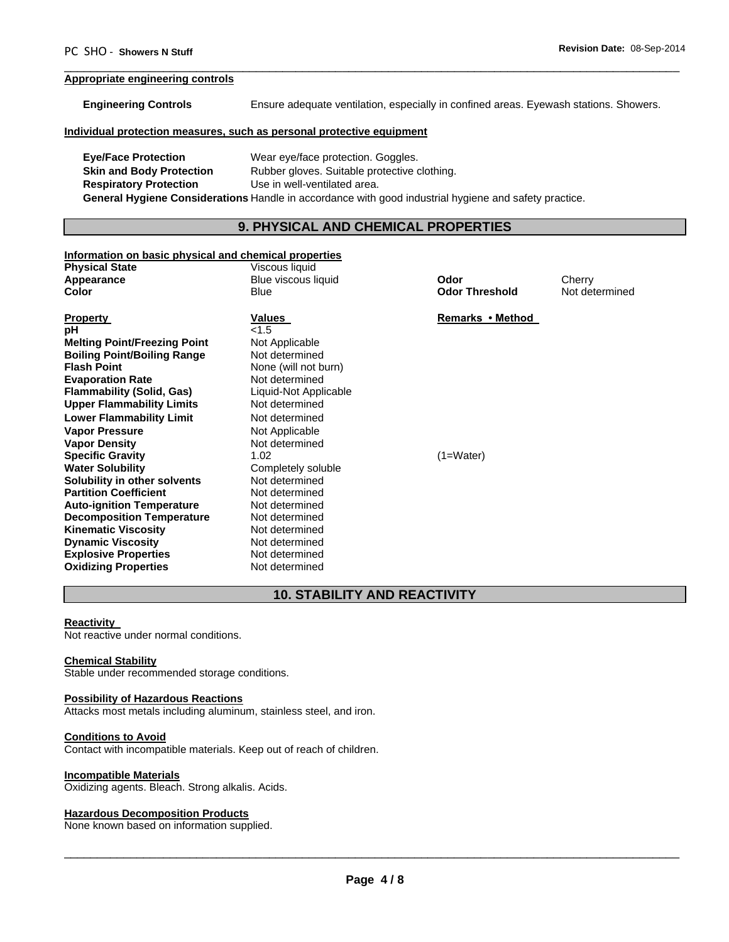# **Appropriate engineering controls**

**Engineering Controls** Ensure adequate ventilation, especially in confined areas. Eyewash stations. Showers.

## **Individual protection measures, such as personal protective equipment**

**Eye/Face Protection** Wear eye/face protection. Goggles. **Skin and Body Protection** Rubber gloves. Suitable protective clothing. **Respiratory Protection** Use in well-ventilated area. **General Hygiene Considerations** Handle in accordance with good industrial hygiene and safety practice.

# **9. PHYSICAL AND CHEMICAL PROPERTIES**

 $\overline{\phantom{a}}$  , and the set of the set of the set of the set of the set of the set of the set of the set of the set of the set of the set of the set of the set of the set of the set of the set of the set of the set of the s

# **Information on basic physical and chemical properties**

| miormation on pasic privsical and chemical properties |                       |                       |                |
|-------------------------------------------------------|-----------------------|-----------------------|----------------|
| <b>Physical State</b>                                 | Viscous liquid        |                       |                |
| Appearance                                            | Blue viscous liquid   | Odor                  | Cherry         |
| Color                                                 | Blue                  | <b>Odor Threshold</b> | Not determined |
|                                                       |                       |                       |                |
| <b>Property</b>                                       | Values                | Remarks • Method      |                |
| рH                                                    | < 1.5                 |                       |                |
| <b>Melting Point/Freezing Point</b>                   | Not Applicable        |                       |                |
| <b>Boiling Point/Boiling Range</b>                    | Not determined        |                       |                |
| <b>Flash Point</b>                                    | None (will not burn)  |                       |                |
| <b>Evaporation Rate</b>                               | Not determined        |                       |                |
| <b>Flammability (Solid, Gas)</b>                      | Liquid-Not Applicable |                       |                |
| <b>Upper Flammability Limits</b>                      | Not determined        |                       |                |
| <b>Lower Flammability Limit</b>                       | Not determined        |                       |                |
| <b>Vapor Pressure</b>                                 | Not Applicable        |                       |                |
| <b>Vapor Density</b>                                  | Not determined        |                       |                |
| <b>Specific Gravity</b>                               | 1.02                  | $(1=Water)$           |                |
| <b>Water Solubility</b>                               | Completely soluble    |                       |                |
| Solubility in other solvents                          | Not determined        |                       |                |
| <b>Partition Coefficient</b>                          | Not determined        |                       |                |
| <b>Auto-ignition Temperature</b>                      | Not determined        |                       |                |
| <b>Decomposition Temperature</b>                      | Not determined        |                       |                |
| <b>Kinematic Viscosity</b>                            | Not determined        |                       |                |
| <b>Dynamic Viscosity</b>                              | Not determined        |                       |                |
| <b>Explosive Properties</b>                           | Not determined        |                       |                |
| <b>Oxidizing Properties</b>                           | Not determined        |                       |                |

# **10. STABILITY AND REACTIVITY**

### **Reactivity**

Not reactive under normal conditions.

# **Chemical Stability**

Stable under recommended storage conditions.

### **Possibility of Hazardous Reactions**

Attacks most metals including aluminum, stainless steel, and iron.

### **Conditions to Avoid**

Contact with incompatible materials. Keep out of reach of children.

### **Incompatible Materials**

Oxidizing agents. Bleach. Strong alkalis. Acids.

### **Hazardous Decomposition Products**

None known based on information supplied.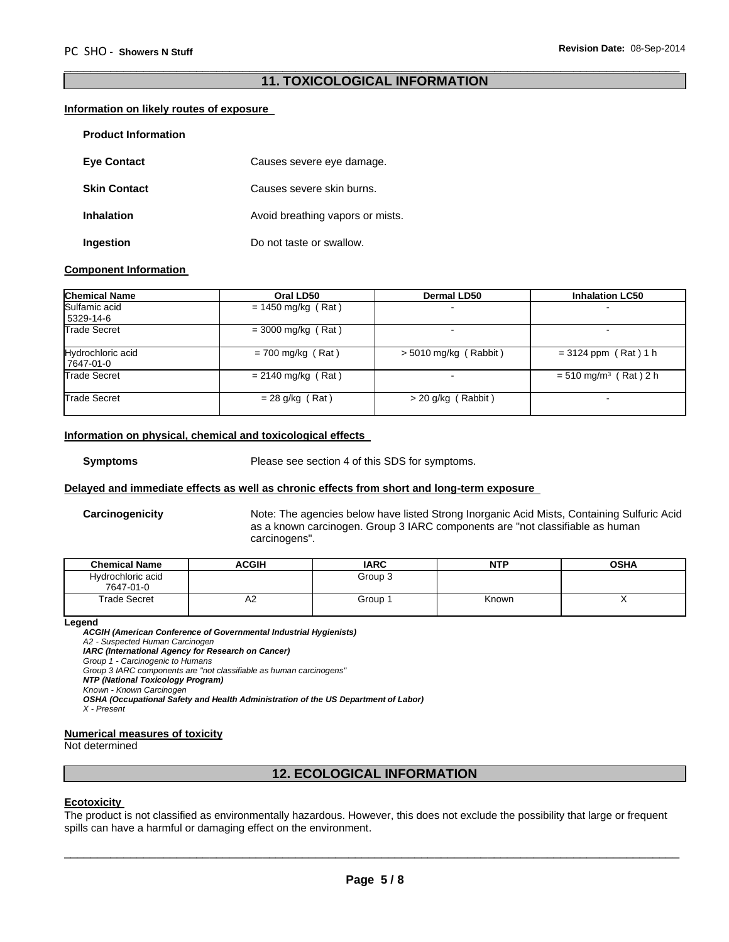# $\overline{\phantom{a}}$  , and the set of the set of the set of the set of the set of the set of the set of the set of the set of the set of the set of the set of the set of the set of the set of the set of the set of the set of the s **11. TOXICOLOGICAL INFORMATION**

# **Information on likely routes of exposure**

| <b>Product Information</b> |                                  |
|----------------------------|----------------------------------|
| <b>Eye Contact</b>         | Causes severe eye damage.        |
| <b>Skin Contact</b>        | Causes severe skin burns.        |
| Inhalation                 | Avoid breathing vapors or mists. |
| Ingestion                  | Do not taste or swallow.         |

# **Component Information**

| <b>Chemical Name</b>           | Oral LD50            | <b>Dermal LD50</b>      | <b>Inhalation LC50</b>              |
|--------------------------------|----------------------|-------------------------|-------------------------------------|
| Sulfamic acid<br>5329-14-6     | $= 1450$ mg/kg (Rat) | ۰.                      |                                     |
| Trade Secret                   | $=$ 3000 mg/kg (Rat) |                         |                                     |
| Hydrochloric acid<br>7647-01-0 | $= 700$ mg/kg (Rat)  | $> 5010$ mg/kg (Rabbit) | $= 3124$ ppm (Rat) 1 h              |
| Trade Secret                   | $= 2140$ mg/kg (Rat) |                         | $= 510$ mg/m <sup>3</sup> (Rat) 2 h |
| Trade Secret                   | $= 28$ g/kg (Rat)    | > 20 g/kg (Rabbit)      |                                     |

# **Information on physical, chemical and toxicological effects**

**Symptoms** Please see section 4 of this SDS for symptoms.

# **Delayed and immediate effects as well as chronic effects from short and long-term exposure**

**Carcinogenicity** Note: The agencies below have listed Strong Inorganic Acid Mists, Containing Sulfuric Acid as a known carcinogen. Group 3 IARC components are "not classifiable as human carcinogens".

| <b>Chemical Name</b>           | ACGIH | <b>IARC</b> | <b>NTP</b> | <b>OSHA</b> |
|--------------------------------|-------|-------------|------------|-------------|
| Hydrochloric acid<br>7647-01-0 |       | Group 3     |            |             |
| <b>Trade Secret</b>            | A2    | Group :     | Known      | ,,          |

### **Legend**

*ACGIH (American Conference of Governmental Industrial Hygienists) A2 - Suspected Human Carcinogen IARC (International Agency for Research on Cancer) Group 1 - Carcinogenic to Humans Group 3 IARC components are "not classifiable as human carcinogens" NTP (National Toxicology Program) Known - Known Carcinogen OSHA (Occupational Safety and Health Administration of the US Department of Labor) X - Present* 

### **Numerical measures of toxicity**

Not determined

# **12. ECOLOGICAL INFORMATION**

# **Ecotoxicity**

The product is not classified as environmentally hazardous. However, this does not exclude the possibility that large or frequent spills can have a harmful or damaging effect on the environment.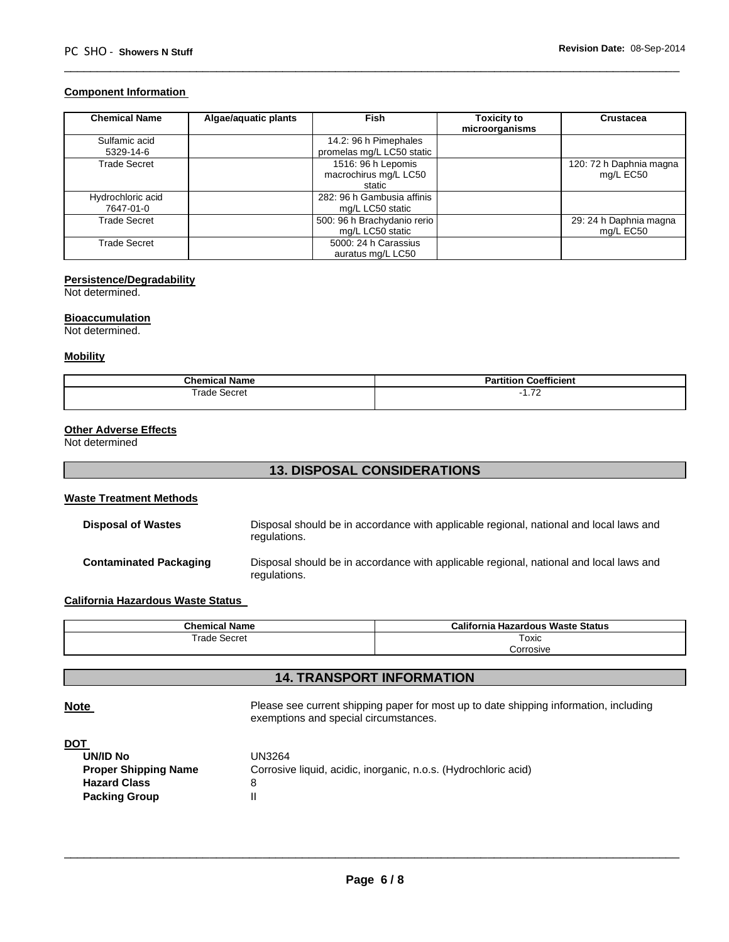# **Component Information**

| <b>Chemical Name</b>       | Algae/aquatic plants | Fish                                                  | <b>Toxicity to</b><br>microorganisms | <b>Crustacea</b>                     |
|----------------------------|----------------------|-------------------------------------------------------|--------------------------------------|--------------------------------------|
| Sulfamic acid<br>5329-14-6 |                      | 14.2: 96 h Pimephales<br>promelas mg/L LC50 static    |                                      |                                      |
| Trade Secret               |                      | 1516: 96 h Lepomis<br>macrochirus mg/L LC50<br>static |                                      | 120: 72 h Daphnia magna<br>mg/L EC50 |
| Hydrochloric acid          |                      | 282: 96 h Gambusia affinis                            |                                      |                                      |
| 7647-01-0                  |                      | mg/L LC50 static                                      |                                      |                                      |
| Trade Secret               |                      | 500: 96 h Brachydanio rerio<br>mg/L LC50 static       |                                      | 29: 24 h Daphnia magna<br>mg/L EC50  |
| Trade Secret               |                      | 5000: 24 h Carassius<br>auratus mg/L LC50             |                                      |                                      |

 $\overline{\phantom{a}}$  , and the set of the set of the set of the set of the set of the set of the set of the set of the set of the set of the set of the set of the set of the set of the set of the set of the set of the set of the s

# **Persistence/Degradability**

Not determined.

# **Bioaccumulation**

Not determined.

# **Mobility**

| <b>Chemical Name</b>                         | <b>Coefficient</b><br><b>Partition</b>     |
|----------------------------------------------|--------------------------------------------|
| $\cdots$<br><sup>-</sup> rade<br>Secret<br>. | $\overline{\phantom{a}}$<br>. <i>. .</i> 2 |

# **Other Adverse Effects**

Not determined

# **13. DISPOSAL CONSIDERATIONS**

# **Waste Treatment Methods**

| <b>Disposal of Wastes</b> | Disposal should be in accordance with applicable regional, national and local laws and<br>regulations. |
|---------------------------|--------------------------------------------------------------------------------------------------------|
| Contaminated Packaging    | Disposal should be in accordance with applicable regional, national and local laws and<br>regulations. |

# **California Hazardous Waste Status**

| <b>Chemical Name</b>                 | California<br>a Hazardous Waste Status |
|--------------------------------------|----------------------------------------|
| Secret<br>rad <sub>o</sub><br>-i dut | Toxic                                  |
|                                      | corrosive.                             |

# **14. TRANSPORT INFORMATION**

**Note Please see current shipping paper for most up to date shipping information, including** exemptions and special circumstances.

| <b>UN/ID No</b>             | UN3264                                                          |
|-----------------------------|-----------------------------------------------------------------|
| <b>Proper Shipping Name</b> | Corrosive liquid, acidic, inorganic, n.o.s. (Hydrochloric acid) |
| <b>Hazard Class</b>         |                                                                 |
| <b>Packing Group</b>        |                                                                 |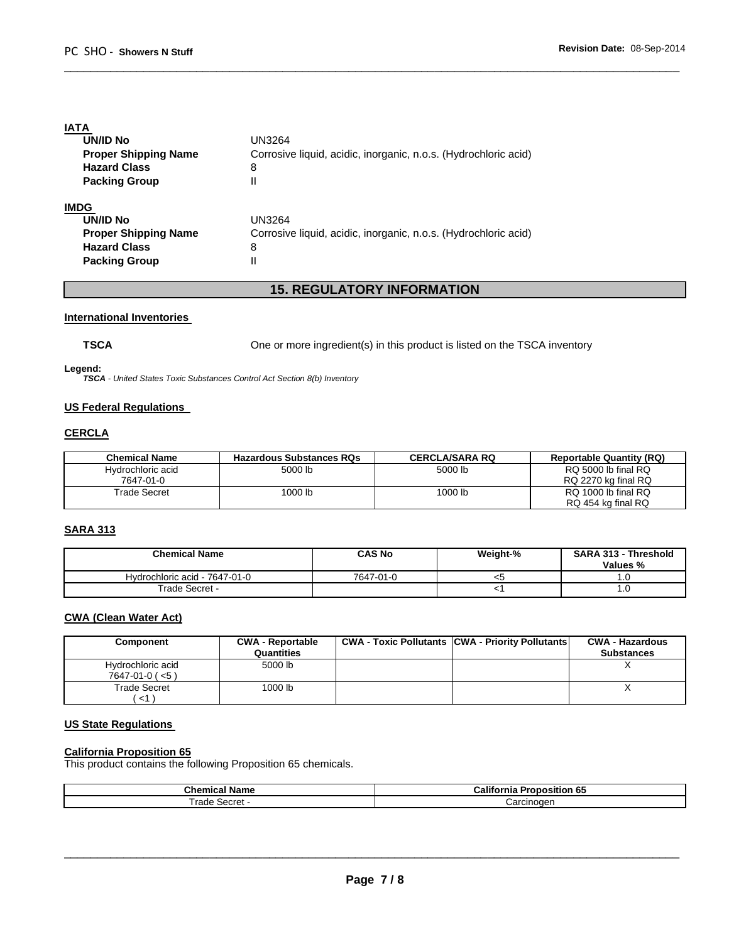# **IATA**

| <b>UN/ID No</b>             | UN3264                                                          |
|-----------------------------|-----------------------------------------------------------------|
| <b>Proper Shipping Name</b> | Corrosive liquid, acidic, inorganic, n.o.s. (Hydrochloric acid) |
| <b>Hazard Class</b>         | 8                                                               |
| <b>Packing Group</b>        | Ш                                                               |
| IMDG                        |                                                                 |
| <b>UN/ID No</b>             | UN3264                                                          |
| <b>Proper Shipping Name</b> | Corrosive liquid, acidic, inorganic, n.o.s. (Hydrochloric acid) |
| <b>Hazard Class</b>         | 8                                                               |
| <b>Packing Group</b>        | Н                                                               |

# **15. REGULATORY INFORMATION**

 $\overline{\phantom{a}}$  , and the set of the set of the set of the set of the set of the set of the set of the set of the set of the set of the set of the set of the set of the set of the set of the set of the set of the set of the s

# **International Inventories**

**TSCA** One or more ingredient(s) in this product is listed on the TSCA inventory

# **Legend:**

*TSCA - United States Toxic Substances Control Act Section 8(b) Inventory* 

# **US Federal Regulations**

# **CERCLA**

| <b>Chemical Name</b> | <b>Hazardous Substances RQs</b> | <b>CERCLA/SARA RQ</b> | <b>Reportable Quantity (RQ)</b> |
|----------------------|---------------------------------|-----------------------|---------------------------------|
| Hydrochloric acid    | 5000 lb                         | 5000 lb               | RQ 5000 lb final RQ             |
| 7647-01-0            |                                 |                       | RQ 2270 kg final RQ             |
| Trade Secret         | 1000 lb                         | 1000 lb               | RQ 1000 lb final RQ             |
|                      |                                 |                       | RQ 454 kg final RQ              |

# **SARA 313**

| <b>Chemical Name</b>          | <b>CAS No</b> | Weight-% | <b>SARA 313 - Threshold</b><br><b>Values</b> % |
|-------------------------------|---------------|----------|------------------------------------------------|
| Hydrochloric acid - 7647-01-0 | 7647-01-0     | <ວ       |                                                |
| Trade Secret -                |               |          | 1.U                                            |

# **CWA (Clean Water Act)**

| Component                                      | <b>CWA - Reportable</b><br>Quantities | <b>CWA - Toxic Pollutants CWA - Priority Pollutants</b> | <b>CWA - Hazardous</b><br><b>Substances</b> |
|------------------------------------------------|---------------------------------------|---------------------------------------------------------|---------------------------------------------|
| Hydrochloric acid<br>$7647 - 01 - 0$ ( $< 5$ ) | 5000 lb                               |                                                         |                                             |
| Trade Secret                                   | 1000 lb                               |                                                         |                                             |
| <1 \                                           |                                       |                                                         |                                             |

# **US State Regulations**

# **California Proposition 65**

This product contains the following Proposition 65 chemicals.

| – Chemical Name | <br>--<br>Califo<br>----<br>------<br>ხე<br><b>iositior</b><br>rono<br>rnia |
|-----------------|-----------------------------------------------------------------------------|
| rade.<br>Secre. | ∴arcınoɑen                                                                  |